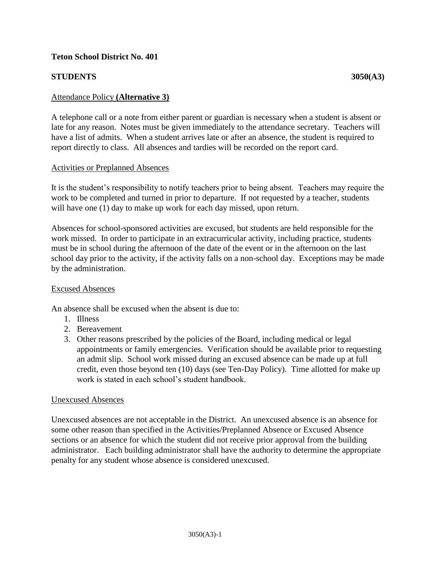## **Teton School District No. 401**

# **STUDENTS** 3050(A3)

## Attendance Policy **(Alternative 3)**

A telephone call or a note from either parent or guardian is necessary when a student is absent or late for any reason. Notes must be given immediately to the attendance secretary. Teachers will have a list of admits. When a student arrives late or after an absence, the student is required to report directly to class. All absences and tardies will be recorded on the report card.

#### Activities or Preplanned Absences

It is the student's responsibility to notify teachers prior to being absent. Teachers may require the work to be completed and turned in prior to departure. If not requested by a teacher, students will have one (1) day to make up work for each day missed, upon return.

Absences for school-sponsored activities are excused, but students are held responsible for the work missed. In order to participate in an extracurricular activity, including practice, students must be in school during the afternoon of the date of the event or in the afternoon on the last school day prior to the activity, if the activity falls on a non-school day. Exceptions may be made by the administration.

### Excused Absences

An absence shall be excused when the absent is due to:

- 1. Illness
- 2. Bereavement
- 3. Other reasons prescribed by the policies of the Board, including medical or legal appointments or family emergencies. Verification should be available prior to requesting an admit slip. School work missed during an excused absence can be made up at full credit, even those beyond ten (10) days (see Ten-Day Policy). Time allotted for make up work is stated in each school's student handbook.

#### Unexcused Absences

Unexcused absences are not acceptable in the District. An unexcused absence is an absence for some other reason than specified in the Activities/Preplanned Absence or Excused Absence sections or an absence for which the student did not receive prior approval from the building administrator. Each building administrator shall have the authority to determine the appropriate penalty for any student whose absence is considered unexcused.